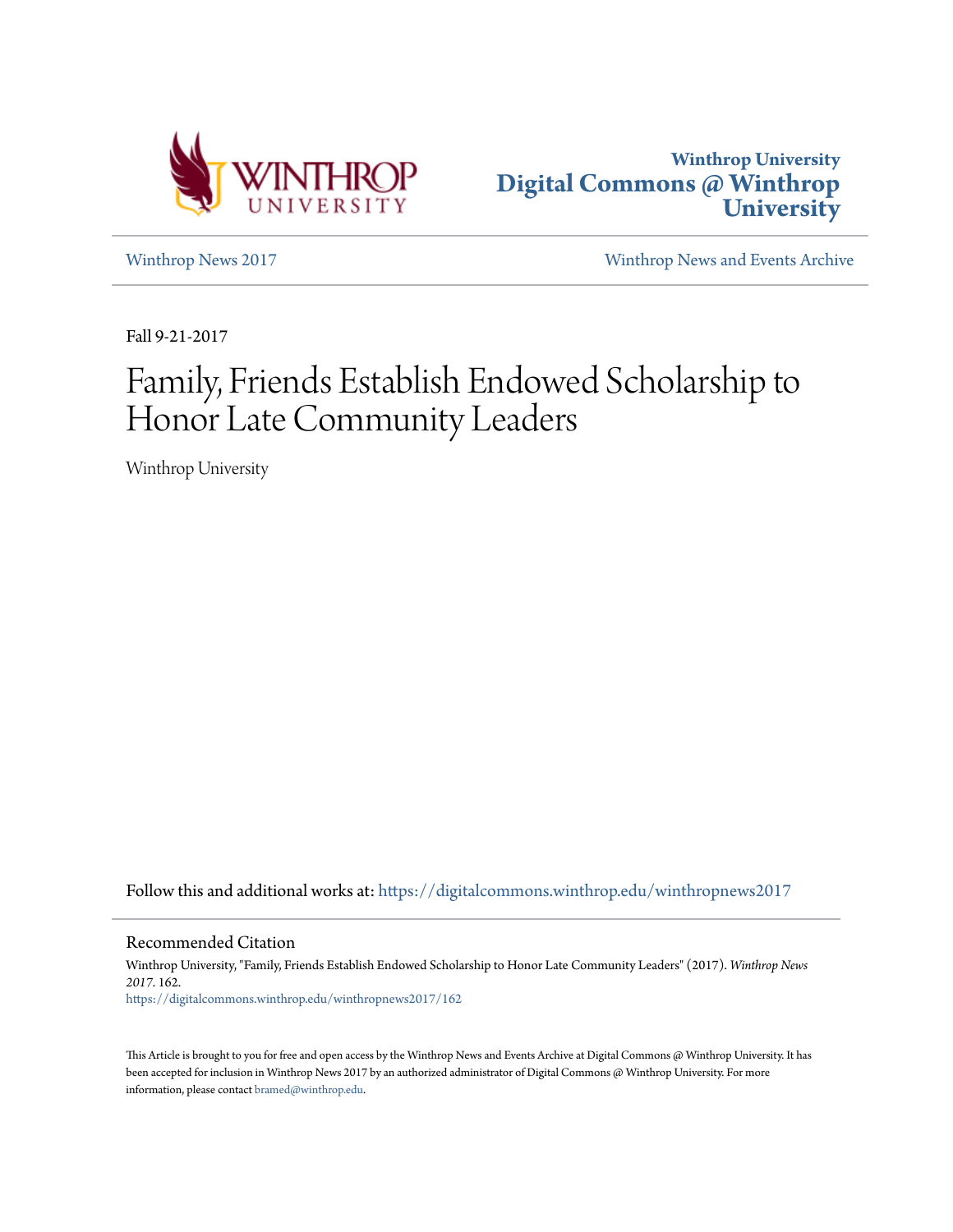



[Winthrop News 2017](https://digitalcommons.winthrop.edu/winthropnews2017?utm_source=digitalcommons.winthrop.edu%2Fwinthropnews2017%2F162&utm_medium=PDF&utm_campaign=PDFCoverPages) [Winthrop News and Events Archive](https://digitalcommons.winthrop.edu/winthropnewsarchives?utm_source=digitalcommons.winthrop.edu%2Fwinthropnews2017%2F162&utm_medium=PDF&utm_campaign=PDFCoverPages)

Fall 9-21-2017

## Family, Friends Establish Endowed Scholarship to Honor Late Community Leaders

Winthrop University

Follow this and additional works at: [https://digitalcommons.winthrop.edu/winthropnews2017](https://digitalcommons.winthrop.edu/winthropnews2017?utm_source=digitalcommons.winthrop.edu%2Fwinthropnews2017%2F162&utm_medium=PDF&utm_campaign=PDFCoverPages)

Recommended Citation

Winthrop University, "Family, Friends Establish Endowed Scholarship to Honor Late Community Leaders" (2017). *Winthrop News 2017*. 162. [https://digitalcommons.winthrop.edu/winthropnews2017/162](https://digitalcommons.winthrop.edu/winthropnews2017/162?utm_source=digitalcommons.winthrop.edu%2Fwinthropnews2017%2F162&utm_medium=PDF&utm_campaign=PDFCoverPages)

This Article is brought to you for free and open access by the Winthrop News and Events Archive at Digital Commons @ Winthrop University. It has been accepted for inclusion in Winthrop News 2017 by an authorized administrator of Digital Commons @ Winthrop University. For more information, please contact [bramed@winthrop.edu](mailto:bramed@winthrop.edu).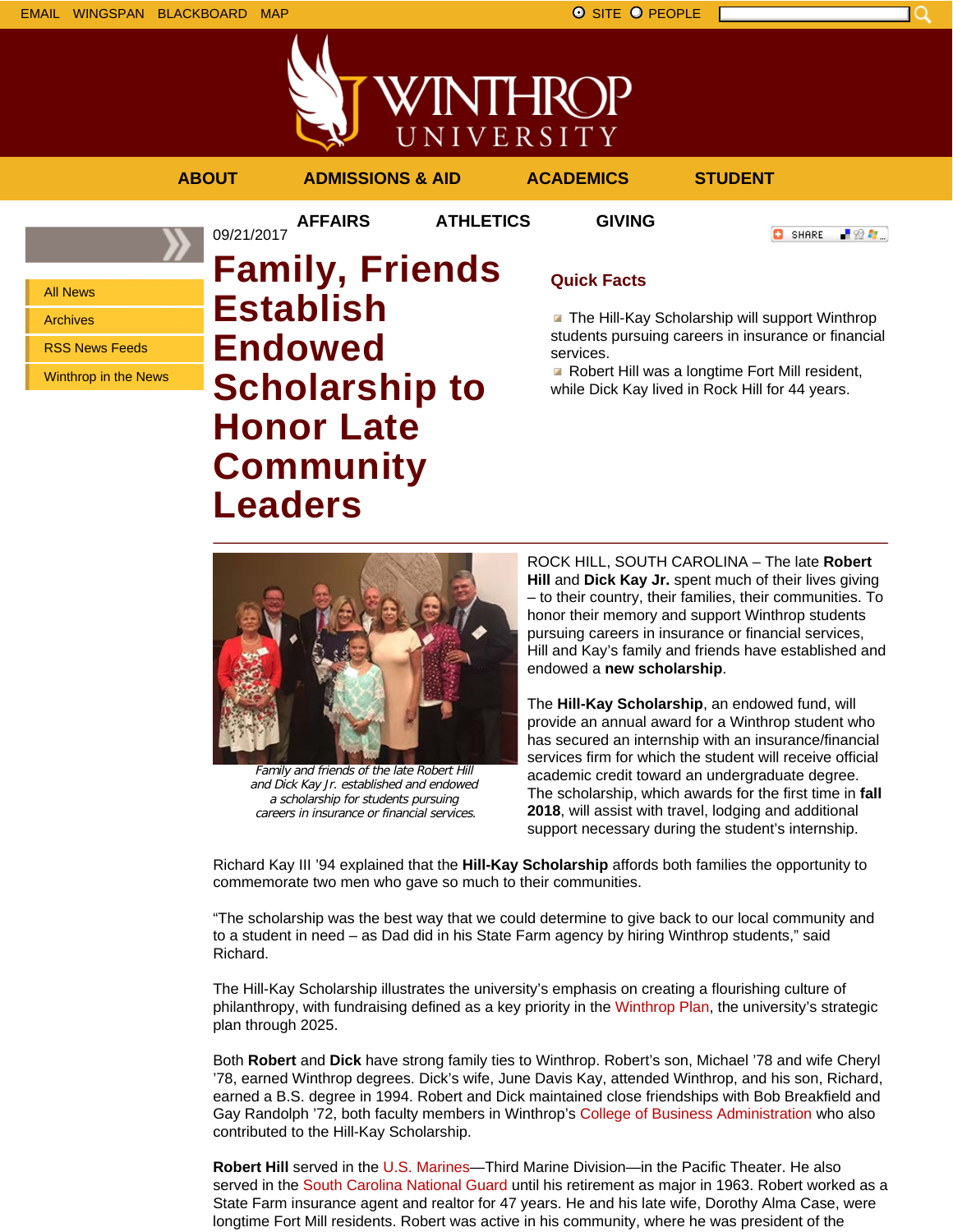EMAIL WINGSPAN BLACKBOARD MAP SITE O PEOPLE



UNIVERSITY **ABOUT ADMISSIONS & AID ACADEMICS STUDENT AFFAIRS ATHLETICS GIVING** 09/21/2017

VINTHROP

**O** SHARE - 89 年 -

All News

Archives

RSS News Feeds

Winthrop in the News

**Family, Friends Establish Endowed Scholarship to Honor Late Community Leaders**

## **Quick Facts**

**The Hill-Kay Scholarship will support Winthrop** students pursuing careers in insurance or financial services.

**Robert Hill was a longtime Fort Mill resident,** while Dick Kay lived in Rock Hill for 44 years.



Family and friends of the late Robert Hill and Dick Kay Jr. established and endowed a scholarship for students pursuing careers in insurance or financial services.

ROCK HILL, SOUTH CAROLINA – The late **Robert Hill** and **Dick Kay Jr.** spent much of their lives giving – to their country, their families, their communities. To honor their memory and support Winthrop students pursuing careers in insurance or financial services, Hill and Kay's family and friends have established and endowed a **new scholarship**.

The **Hill-Kay Scholarship**, an endowed fund, will provide an annual award for a Winthrop student who has secured an internship with an insurance/financial services firm for which the student will receive official academic credit toward an undergraduate degree. The scholarship, which awards for the first time in **fall 2018**, will assist with travel, lodging and additional support necessary during the student's internship.

Richard Kay III '94 explained that the **Hill-Kay Scholarship** affords both families the opportunity to commemorate two men who gave so much to their communities.

"The scholarship was the best way that we could determine to give back to our local community and to a student in need – as Dad did in his State Farm agency by hiring Winthrop students," said Richard.

The Hill-Kay Scholarship illustrates the university's emphasis on creating a flourishing culture of philanthropy, with fundraising defined as a key priority in the Winthrop Plan, the university's strategic plan through 2025.

Both **Robert** and **Dick** have strong family ties to Winthrop. Robert's son, Michael '78 and wife Cheryl '78, earned Winthrop degrees. Dick's wife, June Davis Kay, attended Winthrop, and his son, Richard, earned a B.S. degree in 1994. Robert and Dick maintained close friendships with Bob Breakfield and Gay Randolph '72, both faculty members in Winthrop's College of Business Administration who also contributed to the Hill-Kay Scholarship.

**Robert Hill** served in the U.S. Marines—Third Marine Division—in the Pacific Theater. He also served in the South Carolina National Guard until his retirement as major in 1963. Robert worked as a State Farm insurance agent and realtor for 47 years. He and his late wife, Dorothy Alma Case, were longtime Fort Mill residents. Robert was active in his community, where he was president of the